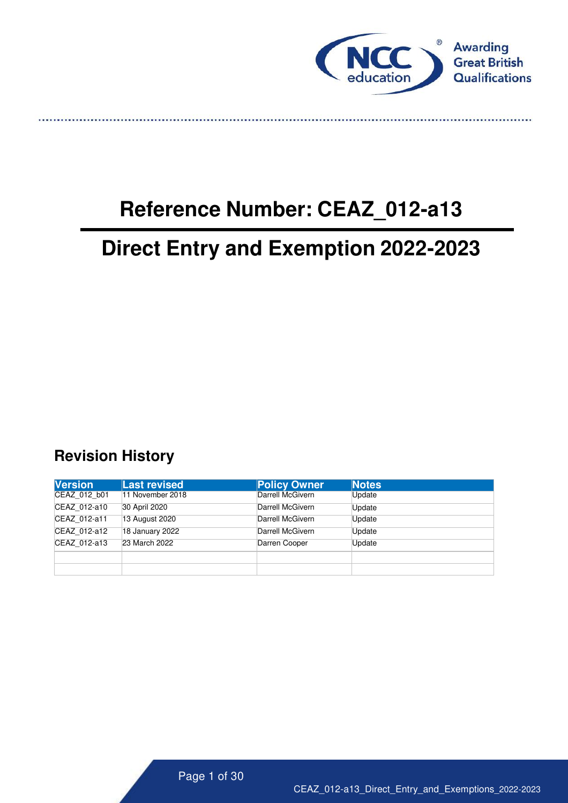

. . . . . . . . . . . . . .

# **Reference Number: CEAZ\_012-a13**

# **Direct Entry and Exemption 2022-2023**

# <span id="page-0-0"></span>**Revision History**

| <b>Version</b> | Last revised     | <b>Policy Owner</b> | <b>Notes</b> |
|----------------|------------------|---------------------|--------------|
| CEAZ 012 b01   | 11 November 2018 | Darrell McGivern    | Update       |
| CEAZ 012-a10   | 30 April 2020    | Darrell McGivern    | Update       |
| CEAZ 012-a11   | 13 August 2020   | Darrell McGivern    | Update       |
| CEAZ 012-a12   | 18 January 2022  | Darrell McGivern    | Update       |
| CEAZ 012-a13   | 23 March 2022    | Darren Cooper       | Update       |
|                |                  |                     |              |
|                |                  |                     |              |

Page 1 of 30

CEAZ\_012-a13\_Direct\_Entry\_and\_Exemptions\_2022-2023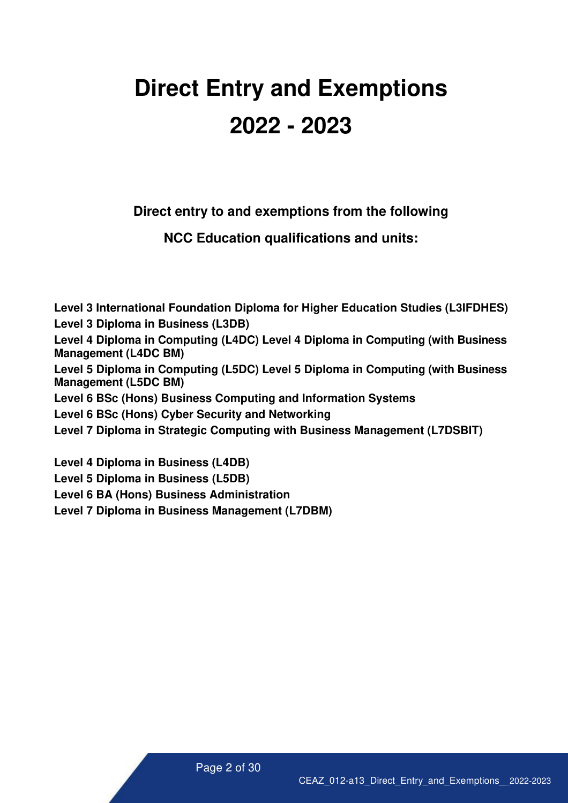# **Direct Entry and Exemptions 2022 - 2023**

**Direct entry to and exemptions from the following**

**NCC Education qualifications and units:**

**Level 3 International Foundation Diploma for Higher Education Studies (L3IFDHES) Level 3 Diploma in Business (L3DB) Level 4 Diploma in Computing (L4DC) Level 4 Diploma in Computing (with Business Management (L4DC BM) Level 5 Diploma in Computing (L5DC) Level 5 Diploma in Computing (with Business Management (L5DC BM) Level 6 BSc (Hons) Business Computing and Information Systems Level 6 BSc (Hons) Cyber Security and Networking Level 7 Diploma in Strategic Computing with Business Management (L7DSBIT) Level 4 Diploma in Business (L4DB) Level 5 Diploma in Business (L5DB)**

**Level 6 BA (Hons) Business Administration** 

**Level 7 Diploma in Business Management (L7DBM)**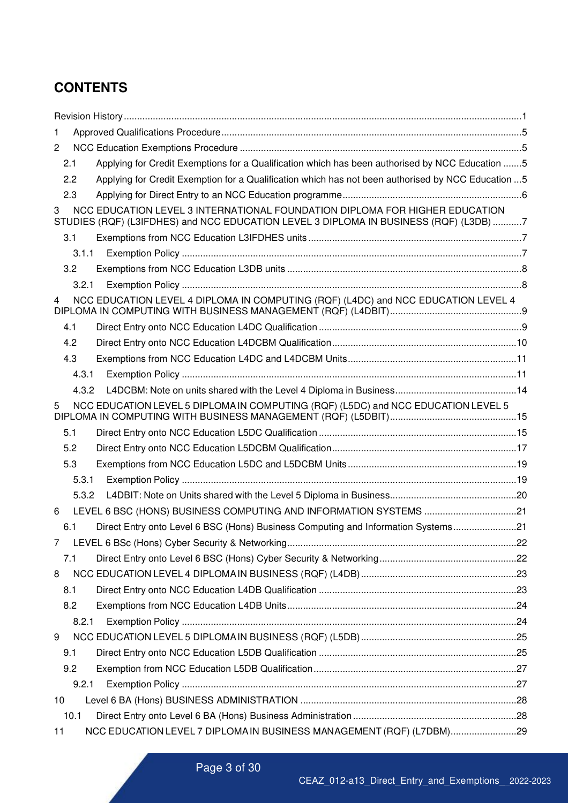# **CONTENTS**

| 1              |                                                                                                                                                                      |  |
|----------------|----------------------------------------------------------------------------------------------------------------------------------------------------------------------|--|
| $\overline{2}$ |                                                                                                                                                                      |  |
| 2.1            | Applying for Credit Exemptions for a Qualification which has been authorised by NCC Education 5                                                                      |  |
| 2.2            | Applying for Credit Exemption for a Qualification which has not been authorised by NCC Education  5                                                                  |  |
| 2.3            |                                                                                                                                                                      |  |
| 3              | NCC EDUCATION LEVEL 3 INTERNATIONAL FOUNDATION DIPLOMA FOR HIGHER EDUCATION<br>STUDIES (RQF) (L3IFDHES) and NCC EDUCATION LEVEL 3 DIPLOMA IN BUSINESS (RQF) (L3DB) 7 |  |
| 3.1            |                                                                                                                                                                      |  |
| 3.1.1          |                                                                                                                                                                      |  |
| 3.2            |                                                                                                                                                                      |  |
| 3.2.1          |                                                                                                                                                                      |  |
| 4              | NCC EDUCATION LEVEL 4 DIPLOMA IN COMPUTING (RQF) (L4DC) and NCC EDUCATION LEVEL 4                                                                                    |  |
| 4.1            |                                                                                                                                                                      |  |
| 4.2            |                                                                                                                                                                      |  |
| 4.3            |                                                                                                                                                                      |  |
| 4.3.1          |                                                                                                                                                                      |  |
| 4.3.2          |                                                                                                                                                                      |  |
| 5              | NCC EDUCATION LEVEL 5 DIPLOMA IN COMPUTING (RQF) (L5DC) and NCC EDUCATION LEVEL 5                                                                                    |  |
| 5.1            |                                                                                                                                                                      |  |
| 5.2            |                                                                                                                                                                      |  |
| 5.3            |                                                                                                                                                                      |  |
| 5.3.1          |                                                                                                                                                                      |  |
| 5.3.2          |                                                                                                                                                                      |  |
| 6              | LEVEL 6 BSC (HONS) BUSINESS COMPUTING AND INFORMATION SYSTEMS 21                                                                                                     |  |
| 6.1            | Direct Entry onto Level 6 BSC (Hons) Business Computing and Information Systems21                                                                                    |  |
|                |                                                                                                                                                                      |  |
| 7.1            |                                                                                                                                                                      |  |
| 8              |                                                                                                                                                                      |  |
| 8.1            |                                                                                                                                                                      |  |
| 8.2            |                                                                                                                                                                      |  |
| 8.2.1          |                                                                                                                                                                      |  |
| 9              |                                                                                                                                                                      |  |
| 9.1            |                                                                                                                                                                      |  |
| 9.2            |                                                                                                                                                                      |  |
| 9.2.1          |                                                                                                                                                                      |  |
| 10             |                                                                                                                                                                      |  |
| 10.1           |                                                                                                                                                                      |  |
| 11             | NCC EDUCATION LEVEL 7 DIPLOMA IN BUSINESS MANAGEMENT (RQF) (L7DBM)29                                                                                                 |  |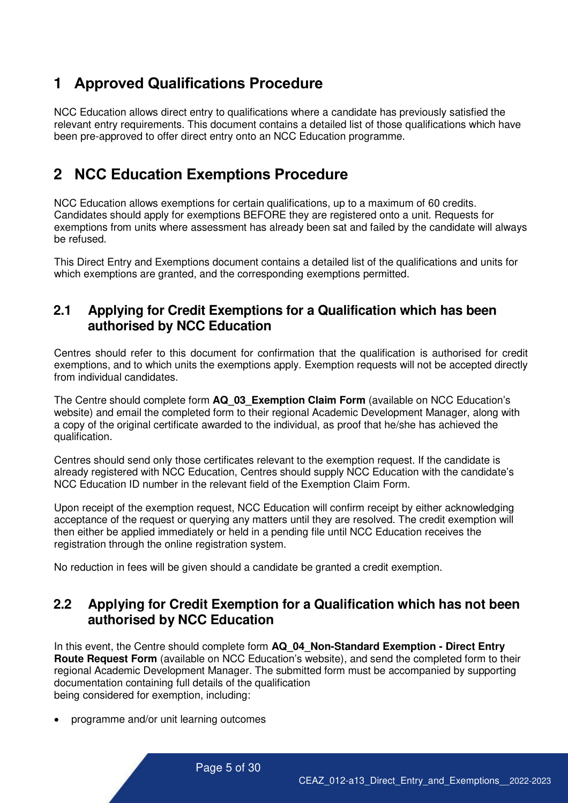# <span id="page-4-0"></span>**1 Approved Qualifications Procedure**

NCC Education allows direct entry to qualifications where a candidate has previously satisfied the relevant entry requirements. This document contains a detailed list of those qualifications which have been pre-approved to offer direct entry onto an NCC Education programme.

# <span id="page-4-1"></span>**2 NCC Education Exemptions Procedure**

NCC Education allows exemptions for certain qualifications, up to a maximum of 60 credits. Candidates should apply for exemptions BEFORE they are registered onto a unit. Requests for exemptions from units where assessment has already been sat and failed by the candidate will always be refused.

This Direct Entry and Exemptions document contains a detailed list of the qualifications and units for which exemptions are granted, and the corresponding exemptions permitted.

#### <span id="page-4-2"></span>**2.1 Applying for Credit Exemptions for a Qualification which has been authorised by NCC Education**

Centres should refer to this document for confirmation that the qualification is authorised for credit exemptions, and to which units the exemptions apply. Exemption requests will not be accepted directly from individual candidates.

The Centre should complete form **AQ\_03\_Exemption Claim Form** (available on NCC Education's website) and email the completed form to their regional Academic Development Manager, along with a copy of the original certificate awarded to the individual, as proof that he/she has achieved the qualification.

Centres should send only those certificates relevant to the exemption request. If the candidate is already registered with NCC Education, Centres should supply NCC Education with the candidate's NCC Education ID number in the relevant field of the Exemption Claim Form.

Upon receipt of the exemption request, NCC Education will confirm receipt by either acknowledging acceptance of the request or querying any matters until they are resolved. The credit exemption will then either be applied immediately or held in a pending file until NCC Education receives the registration through the online registration system.

 $B^{\text{m}}$ No reduction in fees will be given should a candidate be granted a credit exemption.

#### <span id="page-4-3"></span>**2.2 Applying for Credit Exemption for a Qualification which has not been authorised by NCC Education**

In this event, the Centre should complete form **AQ\_04\_Non-Standard Exemption - Direct Entry Route Request Form** (available on NCC Education's website), and send the completed form to their regional Academic Development Manager. The submitted form must be accompanied by supporting documentation containing full details of the qualification being considered for exemption, including:

• programme and/or unit learning outcomes

Page 5 of 30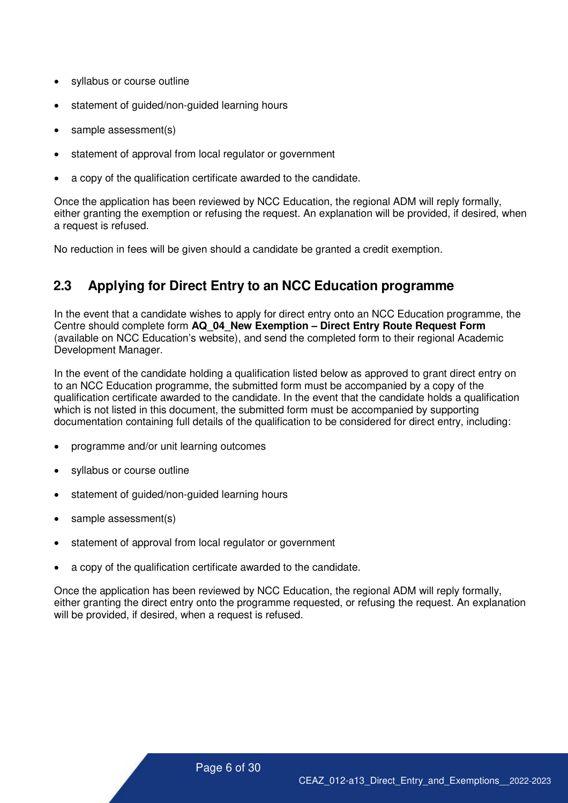- syllabus or course outline
- statement of guided/non-guided learning hours
- sample assessment(s)
- statement of approval from local regulator or government
- a copy of the qualification certificate awarded to the candidate.

Once the application has been reviewed by NCC Education, the regional ADM will reply formally, either granting the exemption or refusing the request. An explanation will be provided, if desired, when a request is refused.

No reduction in fees will be given should a candidate be granted a credit exemption.

#### <span id="page-5-0"></span>**2.3 Applying for Direct Entry to an NCC Education programme**

In the event that a candidate wishes to apply for direct entry onto an NCC Education programme, the Centre should complete form **AQ\_04\_New Exemption – Direct Entry Route Request Form**  (available on NCC Education's website), and send the completed form to their regional Academic Development Manager.

In the event of the candidate holding a qualification listed below as approved to grant direct entry on to an NCC Education programme, the submitted form must be accompanied by a copy of the qualification certificate awarded to the candidate. In the event that the candidate holds a qualification which is not listed in this document, the submitted form must be accompanied by supporting documentation containing full details of the qualification to be considered for direct entry, including:

- programme and/or unit learning outcomes
- syllabus or course outline
- statement of guided/non-guided learning hours
- sample assessment(s)
- statement of approval from local regulator or government
- a copy of the qualification certificate awarded to the candidate.

Once the application has been reviewed by NCC Education, the regional ADM will reply formally, either granting the direct entry onto the programme requested, or refusing the request. An explanation will be provided, if desired, when a request is refused.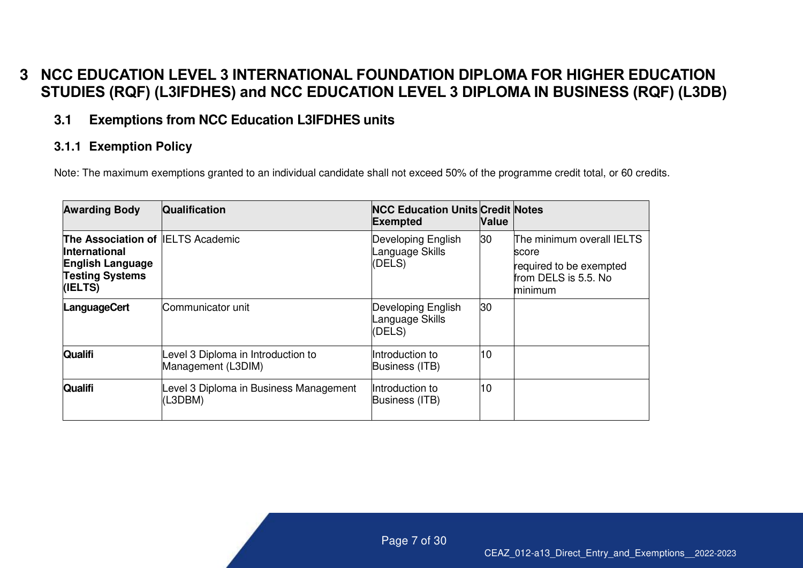# **3 NCC EDUCATION LEVEL 3 INTERNATIONAL FOUNDATION DIPLOMA FOR HIGHER EDUCATION STUDIES (RQF) (L3IFDHES) and NCC EDUCATION LEVEL 3 DIPLOMA IN BUSINESS (RQF) (L3DB)**

#### **3.1 Exemptions from NCC Education L3IFDHES units**

#### **3.1.1 Exemption Policy**

Note: The maximum exemptions granted to an individual candidate shall not exceed 50% of the programme credit total, or 60 credits.

<span id="page-6-2"></span><span id="page-6-1"></span><span id="page-6-0"></span>

| <b>Awarding Body</b>                                                                                                      | <b>Qualification</b>                                    | <b>NCC Education Units Credit Notes</b><br><b>Exempted</b> | <b>Nalue</b> |                                                                                                  |
|---------------------------------------------------------------------------------------------------------------------------|---------------------------------------------------------|------------------------------------------------------------|--------------|--------------------------------------------------------------------------------------------------|
| The Association of IELTS Academic<br><b>International</b><br><b>English Language</b><br><b>Testing Systems</b><br>(IELTS) |                                                         | Developing English<br>Language Skills<br>(DELS)            | 30           | The minimum overall IELTS<br>score<br>required to be exempted<br>from DELS is 5.5. No<br>minimum |
| <b>LanguageCert</b>                                                                                                       | Communicator unit                                       | Developing English<br>Language Skills<br>(DELS)            | 30           |                                                                                                  |
| <b>Qualifi</b>                                                                                                            | evel 3 Diploma in Introduction to<br>Management (L3DIM) | Introduction to<br>Business (ITB)                          | 10           |                                                                                                  |
| <b>Qualifi</b>                                                                                                            | Level 3 Diploma in Business Management<br>(L3DBM)       | Introduction to<br>Business (ITB)                          | 10           |                                                                                                  |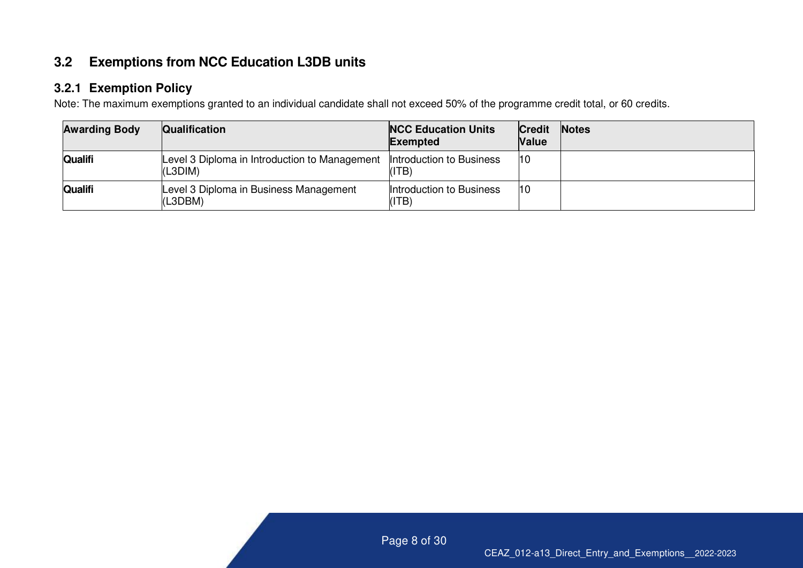#### **3.2 Exemptions from NCC Education L3DB units**

#### **3.2.1 Exemption Policy**

Note: The maximum exemptions granted to an individual candidate shall not exceed 50% of the programme credit total, or 60 credits.

<span id="page-7-1"></span><span id="page-7-0"></span>

| <b>Awarding Body</b> | Qualification                                            | <b>NCC Education Units</b><br><b>Exempted</b> | <b>Credit</b><br><b>Value</b> | <b>Notes</b> |
|----------------------|----------------------------------------------------------|-----------------------------------------------|-------------------------------|--------------|
| <b>Qualifi</b>       | Level 3 Diploma in Introduction to Management<br>(L3DIM) | Introduction to Business<br>(ITB)             | 10                            |              |
| <b>Qualifi</b>       | Level 3 Diploma in Business Management<br>(L3DBM)        | Introduction to Business<br>(ITB)             | 10                            |              |

Page 8 of 30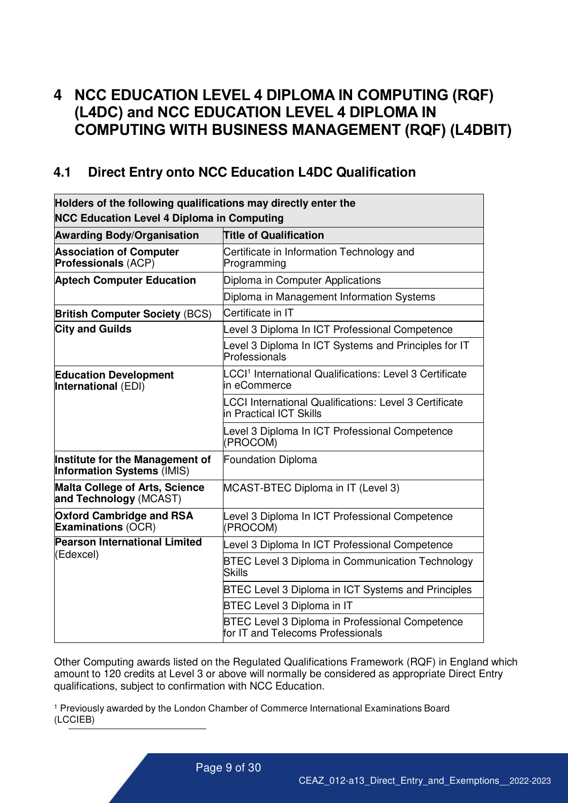# <span id="page-8-0"></span>**4 NCC EDUCATION LEVEL 4 DIPLOMA IN COMPUTING (RQF) (L4DC) and NCC EDUCATION LEVEL 4 DIPLOMA IN COMPUTING WITH BUSINESS MANAGEMENT (RQF) (L4DBIT)**

#### <span id="page-8-1"></span>**4.1 Direct Entry onto NCC Education L4DC Qualification**

| Holders of the following qualifications may directly enter the<br><b>NCC Education Level 4 Diploma in Computing</b> |                                                                                             |  |  |  |  |
|---------------------------------------------------------------------------------------------------------------------|---------------------------------------------------------------------------------------------|--|--|--|--|
| <b>Awarding Body/Organisation</b><br><b>Title of Qualification</b>                                                  |                                                                                             |  |  |  |  |
| <b>Association of Computer</b><br>Professionals (ACP)                                                               | Certificate in Information Technology and<br>Programming                                    |  |  |  |  |
| <b>Aptech Computer Education</b>                                                                                    | Diploma in Computer Applications                                                            |  |  |  |  |
|                                                                                                                     | Diploma in Management Information Systems                                                   |  |  |  |  |
| <b>British Computer Society (BCS)</b>                                                                               | Certificate in IT                                                                           |  |  |  |  |
| <b>City and Guilds</b>                                                                                              | evel 3 Diploma In ICT Professional Competence                                               |  |  |  |  |
|                                                                                                                     | evel 3 Diploma In ICT Systems and Principles for IT<br>Professionals                        |  |  |  |  |
| <b>Education Development</b><br>International (EDI)                                                                 | LCCI <sup>1</sup> International Qualifications: Level 3 Certificate<br>in eCommerce         |  |  |  |  |
|                                                                                                                     | <b>LCCI International Qualifications: Level 3 Certificate</b><br>in Practical ICT Skills    |  |  |  |  |
|                                                                                                                     | evel 3 Diploma In ICT Professional Competence<br>(PROCOM)                                   |  |  |  |  |
| Institute for the Management of<br>Information Systems (IMIS)                                                       | <b>Foundation Diploma</b>                                                                   |  |  |  |  |
| <b>Malta College of Arts, Science</b><br>and Technology (MCAST)                                                     | MCAST-BTEC Diploma in IT (Level 3)                                                          |  |  |  |  |
| <b>Oxford Cambridge and RSA</b><br><b>Examinations (OCR)</b>                                                        | Level 3 Diploma In ICT Professional Competence<br>(PROCOM)                                  |  |  |  |  |
| <b>Pearson International Limited</b>                                                                                | Level 3 Diploma In ICT Professional Competence                                              |  |  |  |  |
| (Edexcel)                                                                                                           | <b>BTEC Level 3 Diploma in Communication Technology</b><br><b>Skills</b>                    |  |  |  |  |
|                                                                                                                     | BTEC Level 3 Diploma in ICT Systems and Principles                                          |  |  |  |  |
|                                                                                                                     | <b>BTEC Level 3 Diploma in IT</b>                                                           |  |  |  |  |
|                                                                                                                     | <b>BTEC Level 3 Diploma in Professional Competence</b><br>for IT and Telecoms Professionals |  |  |  |  |

Other Computing awards listed on the Regulated Qualifications Framework (RQF) in England which amount to 120 credits at Level 3 or above will normally be considered as appropriate Direct Entry qualifications, subject to confirmation with NCC Education.

<sup>1</sup> Previously awarded by the London Chamber of Commerce International Examinations Board (LCCIEB)

Page 9 of 30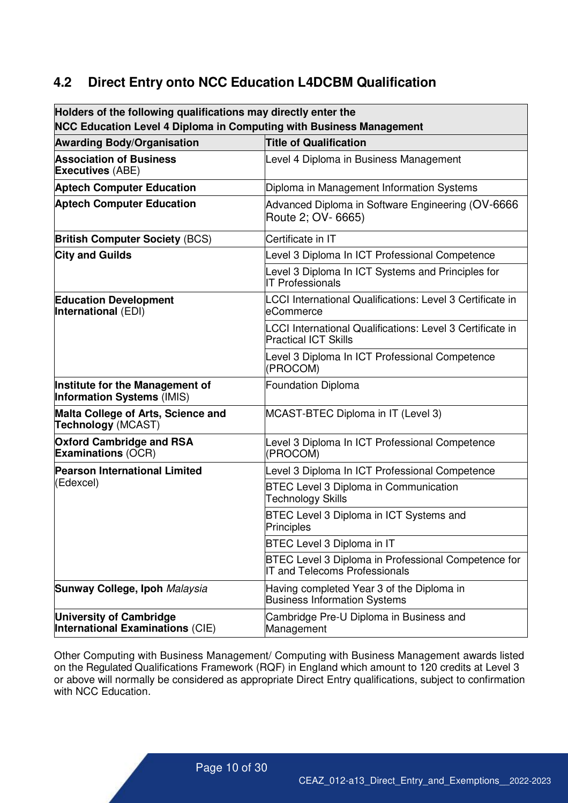#### <span id="page-9-0"></span>**4.2 Direct Entry onto NCC Education L4DCBM Qualification**

| <b>NCC Education Level 4 Diploma in Computing with Business Management</b><br><b>Title of Qualification</b><br>Level 4 Diploma in Business Management<br>Diploma in Management Information Systems<br>Advanced Diploma in Software Engineering (OV-6666<br>Route 2; OV- 6665)<br>Certificate in IT |  |
|----------------------------------------------------------------------------------------------------------------------------------------------------------------------------------------------------------------------------------------------------------------------------------------------------|--|
| <b>Awarding Body/Organisation</b><br><b>Association of Business</b><br><b>Executives (ABE)</b><br><b>Aptech Computer Education</b><br><b>Aptech Computer Education</b><br><b>British Computer Society (BCS)</b>                                                                                    |  |
|                                                                                                                                                                                                                                                                                                    |  |
|                                                                                                                                                                                                                                                                                                    |  |
|                                                                                                                                                                                                                                                                                                    |  |
|                                                                                                                                                                                                                                                                                                    |  |
|                                                                                                                                                                                                                                                                                                    |  |
| <b>City and Guilds</b><br>evel 3 Diploma In ICT Professional Competence                                                                                                                                                                                                                            |  |
| evel 3 Diploma In ICT Systems and Principles for<br><b>IT Professionals</b>                                                                                                                                                                                                                        |  |
| <b>Education Development</b><br>LCCI International Qualifications: Level 3 Certificate in<br>International (EDI)<br>eCommerce                                                                                                                                                                      |  |
| LCCI International Qualifications: Level 3 Certificate in<br><b>Practical ICT Skills</b>                                                                                                                                                                                                           |  |
| Level 3 Diploma In ICT Professional Competence<br>(PROCOM)                                                                                                                                                                                                                                         |  |
| Institute for the Management of<br>Foundation Diploma<br><b>Information Systems (IMIS)</b>                                                                                                                                                                                                         |  |
| Malta College of Arts, Science and<br>MCAST-BTEC Diploma in IT (Level 3)<br>Technology (MCAST)                                                                                                                                                                                                     |  |
| <b>Oxford Cambridge and RSA</b><br>Level 3 Diploma In ICT Professional Competence<br><b>Examinations (OCR)</b><br>(PROCOM)                                                                                                                                                                         |  |
| <b>Pearson International Limited</b><br>Level 3 Diploma In ICT Professional Competence                                                                                                                                                                                                             |  |
| (Edexcel)<br><b>BTEC Level 3 Diploma in Communication</b><br>Technology Skills                                                                                                                                                                                                                     |  |
| BTEC Level 3 Diploma in ICT Systems and<br>Principles                                                                                                                                                                                                                                              |  |
| <b>BTEC Level 3 Diploma in IT</b>                                                                                                                                                                                                                                                                  |  |
| <b>BTEC Level 3 Diploma in Professional Competence for</b><br><b>IT and Telecoms Professionals</b>                                                                                                                                                                                                 |  |
| Sunway College, Ipoh Malaysia<br>Having completed Year 3 of the Diploma in<br><b>Business Information Systems</b>                                                                                                                                                                                  |  |
| <b>University of Cambridge</b><br>Cambridge Pre-U Diploma in Business and<br>International Examinations (CIE)<br>Management                                                                                                                                                                        |  |

Other Computing with Business Management/ Computing with Business Management awards listed on the Regulated Qualifications Framework (RQF) in England which amount to 120 credits at Level 3 or above will normally be considered as appropriate Direct Entry qualifications, subject to confirmation with NCC Education.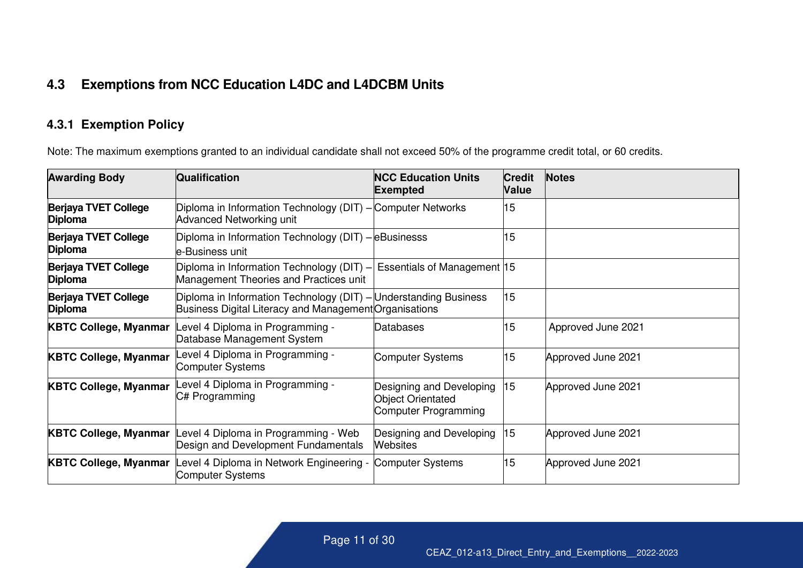## **4.3 Exemptions from NCC Education L4DC and L4DCBM Units**

#### **4.3.1 Exemption Policy**

Note: The maximum exemptions granted to an individual candidate shall not exceed 50% of the programme credit total, or 60 credits.

<span id="page-10-1"></span><span id="page-10-0"></span>

| <b>Awarding Body</b>                          | Qualification                                                                                                              | <b>NCC Education Units</b><br><b>Exempted</b>                                | <b>Credit</b><br><b>Value</b> | <b>Notes</b>       |
|-----------------------------------------------|----------------------------------------------------------------------------------------------------------------------------|------------------------------------------------------------------------------|-------------------------------|--------------------|
| <b>Berjaya TVET College</b><br><b>Diploma</b> | Diploma in Information Technology (DIT) - Computer Networks<br>Advanced Networking unit                                    |                                                                              | 15                            |                    |
| <b>Berjaya TVET College</b><br>Diploma        | Diploma in Information Technology (DIT) - eBusinesss<br>le-Business unit                                                   |                                                                              | 15                            |                    |
| <b>Berjaya TVET College</b><br><b>Diploma</b> | Diploma in Information Technology (DIT) -<br>Management Theories and Practices unit                                        | Essentials of Management 15                                                  |                               |                    |
| <b>Berjaya TVET College</b><br><b>Diploma</b> | Diploma in Information Technology (DIT) - Understanding Business<br>Business Digital Literacy and Management Organisations |                                                                              | 15                            |                    |
| <b>KBTC College, Myanmar</b>                  | Level 4 Diploma in Programming -<br>Database Management System                                                             | Databases                                                                    | 15                            | Approved June 2021 |
| <b>KBTC College, Myanmar</b>                  | evel 4 Diploma in Programming -<br><b>Computer Systems</b>                                                                 | Computer Systems                                                             | 15                            | Approved June 2021 |
| <b>KBTC College, Myanmar</b>                  | evel 4 Diploma in Programming -<br>C# Programming                                                                          | Designing and Developing<br><b>Object Orientated</b><br>Computer Programming | 15                            | Approved June 2021 |
| <b>KBTC College, Myanmar</b>                  | evel 4 Diploma in Programming - Web<br>Design and Development Fundamentals                                                 | Designing and Developing<br><b>Websites</b>                                  | 15                            | Approved June 2021 |
|                                               | <b>KBTC College, Myanmar</b> Level 4 Diploma in Network Engineering -<br><b>Computer Systems</b>                           | Computer Systems                                                             | 15                            | Approved June 2021 |

Page 11 of 42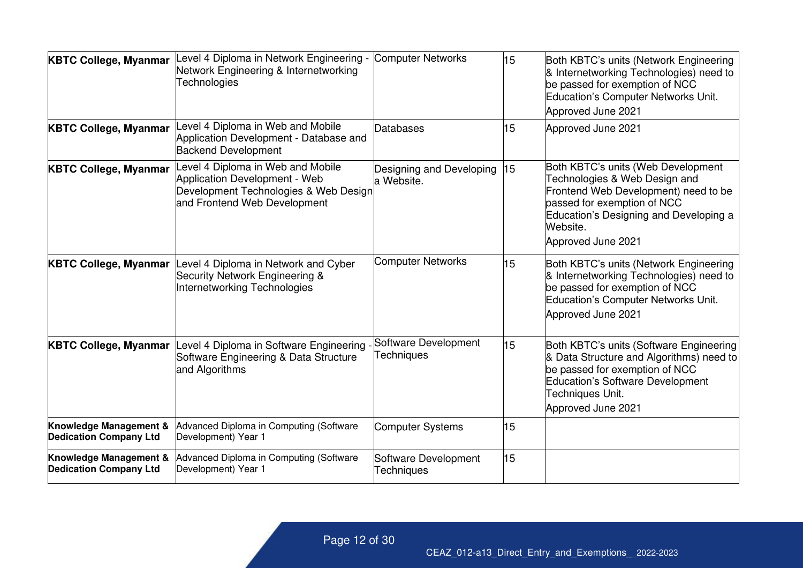| <b>KBTC College, Myanmar</b>                            | -evel 4 Diploma in Network Engineering -<br>Network Engineering & Internetworking<br><b>Technologies</b>                                          | <b>Computer Networks</b>                  | 15 | Both KBTC's units (Network Engineering<br>& Internetworking Technologies) need to<br>be passed for exemption of NCC<br>Education's Computer Networks Unit.<br>Approved June 2021                                       |
|---------------------------------------------------------|---------------------------------------------------------------------------------------------------------------------------------------------------|-------------------------------------------|----|------------------------------------------------------------------------------------------------------------------------------------------------------------------------------------------------------------------------|
| <b>KBTC College, Myanmar</b>                            | evel 4 Diploma in Web and Mobile<br>Application Development - Database and<br><b>Backend Development</b>                                          | Databases                                 | 15 | Approved June 2021                                                                                                                                                                                                     |
| <b>KBTC College, Myanmar</b>                            | evel 4 Diploma in Web and Mobile<br><b>Application Development - Web</b><br>Development Technologies & Web Design<br>and Frontend Web Development | Designing and Developing<br>a Website.    | 15 | Both KBTC's units (Web Development<br>Technologies & Web Design and<br>Frontend Web Development) need to be<br>passed for exemption of NCC<br>Education's Designing and Developing a<br>Website.<br>Approved June 2021 |
| <b>KBTC College, Myanmar</b>                            | Level 4 Diploma in Network and Cyber<br>Security Network Engineering &<br>Internetworking Technologies                                            | <b>Computer Networks</b>                  | 15 | Both KBTC's units (Network Engineering<br>& Internetworking Technologies) need to<br>be passed for exemption of NCC<br>Education's Computer Networks Unit.<br>Approved June 2021                                       |
| <b>KBTC College, Myanmar</b>                            | Level 4 Diploma in Software Engineering<br>Software Engineering & Data Structure<br>and Algorithms                                                | Software Development<br><b>Techniques</b> | 15 | Both KBTC's units (Software Engineering<br>& Data Structure and Algorithms) need to<br>be passed for exemption of NCC<br><b>Education's Software Development</b><br>Techniques Unit.<br>Approved June 2021             |
| Knowledge Management &<br><b>Dedication Company Ltd</b> | Advanced Diploma in Computing (Software<br>Development) Year 1                                                                                    | <b>Computer Systems</b>                   | 15 |                                                                                                                                                                                                                        |
| Knowledge Management &<br><b>Dedication Company Ltd</b> | Advanced Diploma in Computing (Software<br>Development) Year 1                                                                                    | Software Development<br><b>Techniques</b> | 15 |                                                                                                                                                                                                                        |

Page 12 of 42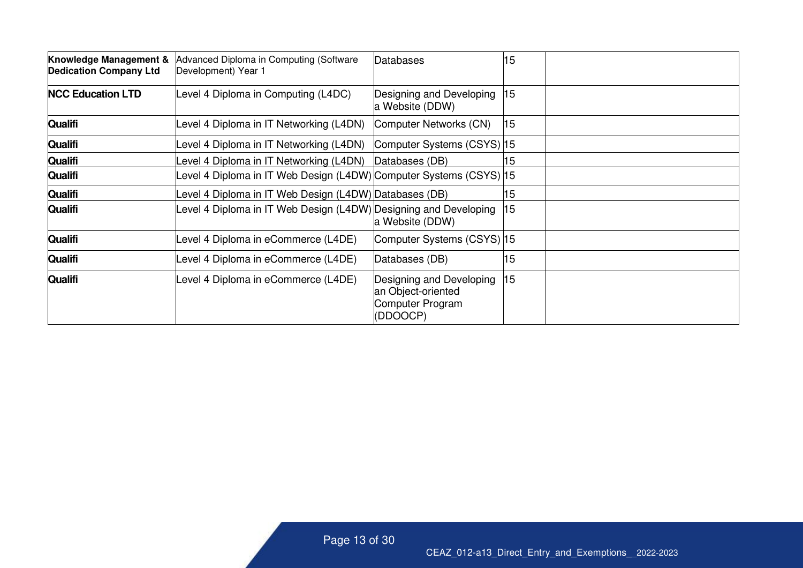| Knowledge Management &<br><b>Dedication Company Ltd</b> | Advanced Diploma in Computing (Software<br>Development) Year 1    | Databases                                                                      | 15 |  |
|---------------------------------------------------------|-------------------------------------------------------------------|--------------------------------------------------------------------------------|----|--|
| <b>NCC Education LTD</b>                                | evel 4 Diploma in Computing (L4DC)                                | Designing and Developing<br>a Website (DDW)                                    | 15 |  |
| <b>Qualifi</b>                                          | Level 4 Diploma in IT Networking (L4DN)                           | Computer Networks (CN)                                                         | 15 |  |
| <b>Qualifi</b>                                          | evel 4 Diploma in IT Networking (L4DN)                            | Computer Systems (CSYS) 15                                                     |    |  |
| <b>Qualifi</b>                                          | evel 4 Diploma in IT Networking (L4DN)                            | Databases (DB)                                                                 | 15 |  |
| <b>Qualifi</b>                                          | evel 4 Diploma in IT Web Design (L4DW) Computer Systems (CSYS) 15 |                                                                                |    |  |
| <b>Qualifi</b>                                          | evel 4 Diploma in IT Web Design (L4DW) Databases (DB)             |                                                                                | 15 |  |
| <b>Qualifi</b>                                          | Level 4 Diploma in IT Web Design (L4DW) Designing and Developing  | a Website (DDW)                                                                | 15 |  |
| <b>Qualifi</b>                                          | Level 4 Diploma in eCommerce (L4DE)                               | Computer Systems (CSYS)  15                                                    |    |  |
| <b>Qualifi</b>                                          | Level 4 Diploma in eCommerce (L4DE)                               | Databases (DB)                                                                 | 15 |  |
| <b>Qualifi</b>                                          | Level 4 Diploma in eCommerce (L4DE)                               | Designing and Developing<br>an Object-oriented<br>Computer Program<br>(DDOOCP) | 15 |  |

Page 13 of 42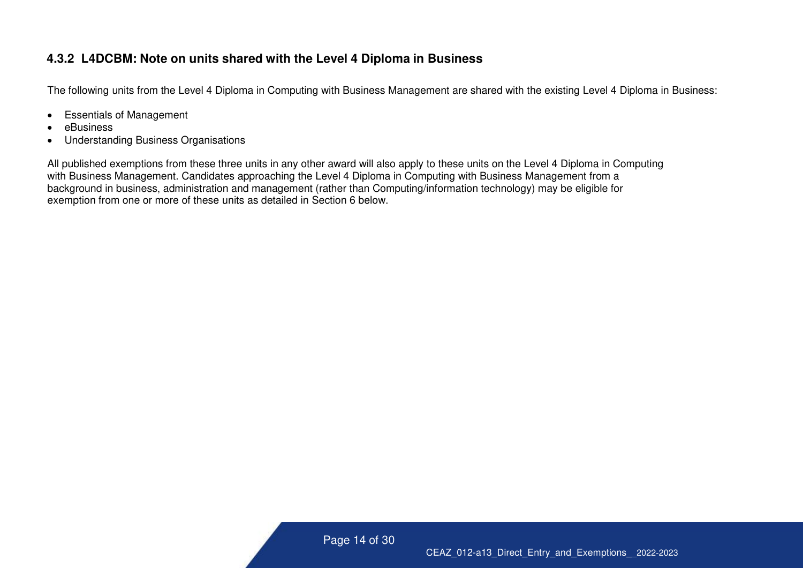#### **4.3.2 L4DCBM: Note on units shared with the Level 4 Diploma in Business**

The following units from the Level 4 Diploma in Computing with Business Management are shared with the existing Level 4 Diploma in Business:

- Essentials of Management
- eBusiness
- Understanding Business Organisations

<span id="page-13-0"></span>All published exemptions from these three units in any other award will also apply to these units on the Level 4 Diploma in Computing with Business Management. Candidates approaching the Level 4 Diploma in Computing with Business Management from a background in business, administration and management (rather than Computing/information technology) may be eligible for exemption from one or more of these units as detailed in Section 6 below.

Page 14 of 42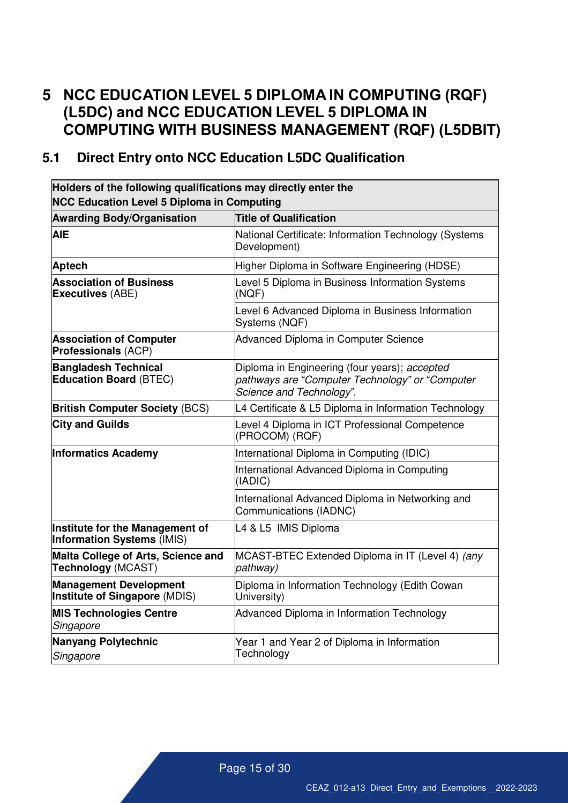# <span id="page-14-0"></span>**5 NCC EDUCATION LEVEL 5 DIPLOMA IN COMPUTING (RQF) (L5DC) and NCC EDUCATION LEVEL 5 DIPLOMA IN COMPUTING WITH BUSINESS MANAGEMENT (RQF) (L5DBIT)**

#### <span id="page-14-1"></span>**5.1 Direct Entry onto NCC Education L5DC Qualification**

| Holders of the following qualifications may directly enter the<br><b>NCC Education Level 5 Diploma in Computing</b> |                                                                                                                              |  |  |  |
|---------------------------------------------------------------------------------------------------------------------|------------------------------------------------------------------------------------------------------------------------------|--|--|--|
| <b>Awarding Body/Organisation</b>                                                                                   | <b>Title of Qualification</b>                                                                                                |  |  |  |
| <b>AIE</b>                                                                                                          | National Certificate: Information Technology (Systems<br>Development)                                                        |  |  |  |
| <b>Aptech</b>                                                                                                       | Higher Diploma in Software Engineering (HDSE)                                                                                |  |  |  |
| <b>Association of Business</b><br><b>Executives (ABE)</b>                                                           | Level 5 Diploma in Business Information Systems<br>(NQF)                                                                     |  |  |  |
|                                                                                                                     | Level 6 Advanced Diploma in Business Information<br>Systems (NQF)                                                            |  |  |  |
| <b>Association of Computer</b><br><b>Professionals (ACP)</b>                                                        | Advanced Diploma in Computer Science                                                                                         |  |  |  |
| <b>Bangladesh Technical</b><br><b>Education Board (BTEC)</b>                                                        | Diploma in Engineering (four years); accepted<br>pathways are "Computer Technology" or "Computer<br>Science and Technology". |  |  |  |
| <b>British Computer Society (BCS)</b>                                                                               | L4 Certificate & L5 Diploma in Information Technology                                                                        |  |  |  |
| <b>City and Guilds</b>                                                                                              | Level 4 Diploma in ICT Professional Competence<br>(PROCOM) (RQF)                                                             |  |  |  |
| <b>Informatics Academy</b>                                                                                          | International Diploma in Computing (IDIC)                                                                                    |  |  |  |
|                                                                                                                     | International Advanced Diploma in Computing<br>(IADIC)                                                                       |  |  |  |
|                                                                                                                     | International Advanced Diploma in Networking and<br>Communications (IADNC)                                                   |  |  |  |
| Institute for the Management of<br><b>Information Systems (IMIS)</b>                                                | L4 & L5 IMIS Diploma                                                                                                         |  |  |  |
| Malta College of Arts, Science and<br>Technology (MCAST)                                                            | MCAST-BTEC Extended Diploma in IT (Level 4) (any<br>pathway)                                                                 |  |  |  |
| <b>Management Development</b><br>Institute of Singapore (MDIS)                                                      | Diploma in Information Technology (Edith Cowan<br>University)                                                                |  |  |  |
| <b>MIS Technologies Centre</b><br>Singapore                                                                         | Advanced Diploma in Information Technology                                                                                   |  |  |  |
| Nanyang Polytechnic<br>Singapore                                                                                    | Year 1 and Year 2 of Diploma in Information<br>Technology                                                                    |  |  |  |

Page 15 of 30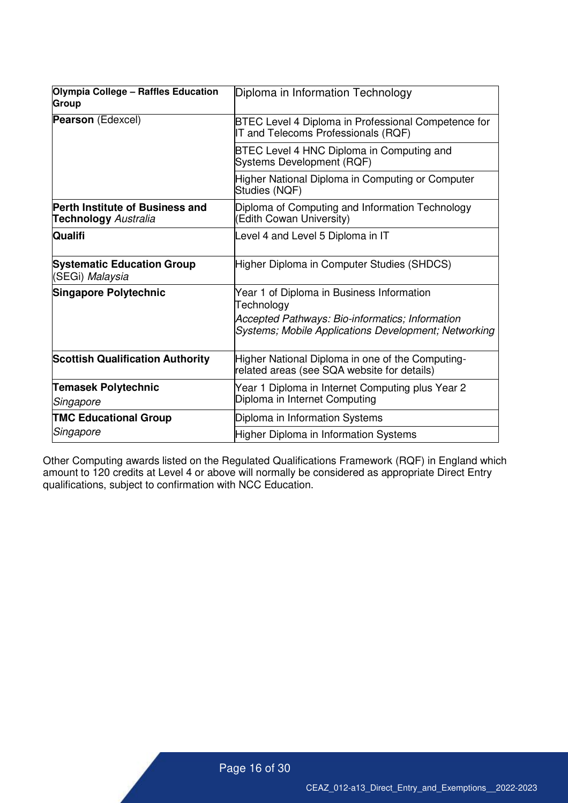| Olympia College - Raffles Education<br><b>Group</b>                   | Diploma in Information Technology                                                                                                                                  |
|-----------------------------------------------------------------------|--------------------------------------------------------------------------------------------------------------------------------------------------------------------|
| <b>Pearson</b> (Edexcel)                                              | BTEC Level 4 Diploma in Professional Competence for<br>IT and Telecoms Professionals (RQF)                                                                         |
|                                                                       | BTEC Level 4 HNC Diploma in Computing and<br>Systems Development (RQF)                                                                                             |
|                                                                       | Higher National Diploma in Computing or Computer<br>Studies (NQF)                                                                                                  |
| <b>Perth Institute of Business and</b><br><b>Technology</b> Australia | Diploma of Computing and Information Technology<br>(Edith Cowan University)                                                                                        |
| <b>Qualifi</b>                                                        | Level 4 and Level 5 Diploma in IT                                                                                                                                  |
| <b>Systematic Education Group</b><br>(SEGi) <i>Malaysia</i>           | Higher Diploma in Computer Studies (SHDCS)                                                                                                                         |
| Singapore Polytechnic                                                 | Year 1 of Diploma in Business Information<br>Technology<br>Accepted Pathways: Bio-informatics; Information<br>Systems; Mobile Applications Development; Networking |
| <b>Scottish Qualification Authority</b>                               | Higher National Diploma in one of the Computing-<br>related areas (see SQA website for details)                                                                    |
| <b>Temasek Polytechnic</b><br>Singapore                               | Year 1 Diploma in Internet Computing plus Year 2<br>Diploma in Internet Computing                                                                                  |
| <b>TMC Educational Group</b>                                          | Diploma in Information Systems                                                                                                                                     |
| Singapore                                                             | Higher Diploma in Information Systems                                                                                                                              |

Other Computing awards listed on the Regulated Qualifications Framework (RQF) in England which amount to 120 credits at Level 4 or above will normally be considered as appropriate Direct Entry qualifications, subject to confirmation with NCC Education.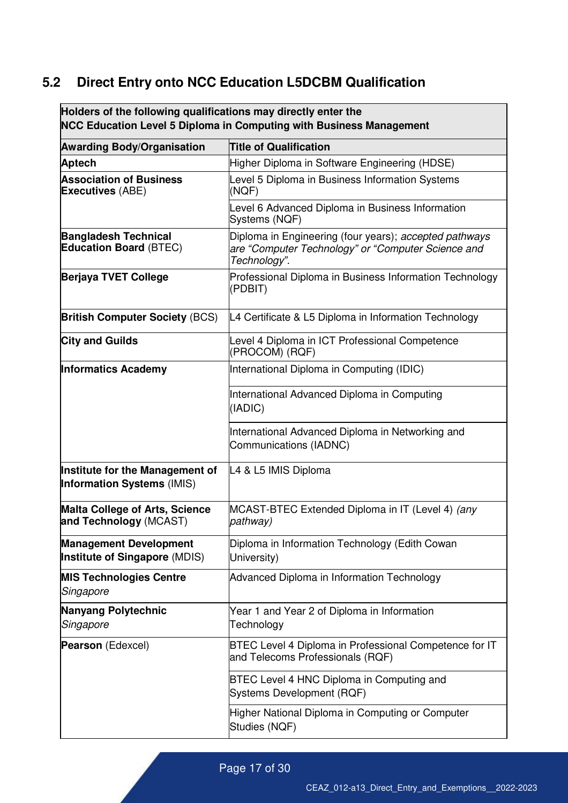# <span id="page-16-0"></span>**5.2 Direct Entry onto NCC Education L5DCBM Qualification**

| Holders of the following qualifications may directly enter the<br><b>NCC Education Level 5 Diploma in Computing with Business Management</b> |                                                                                                                              |  |  |  |
|----------------------------------------------------------------------------------------------------------------------------------------------|------------------------------------------------------------------------------------------------------------------------------|--|--|--|
| <b>Awarding Body/Organisation</b>                                                                                                            | <b>Title of Qualification</b>                                                                                                |  |  |  |
| <b>Aptech</b>                                                                                                                                | Higher Diploma in Software Engineering (HDSE)                                                                                |  |  |  |
| <b>Association of Business</b><br><b>Executives (ABE)</b>                                                                                    | Level 5 Diploma in Business Information Systems<br>(NQF)                                                                     |  |  |  |
|                                                                                                                                              | Level 6 Advanced Diploma in Business Information<br>Systems (NQF)                                                            |  |  |  |
| <b>Bangladesh Technical</b><br><b>Education Board (BTEC)</b>                                                                                 | Diploma in Engineering (four years); accepted pathways<br>are "Computer Technology" or "Computer Science and<br>Technology". |  |  |  |
| <b>Berjaya TVET College</b>                                                                                                                  | Professional Diploma in Business Information Technology<br>(PDBIT)                                                           |  |  |  |
| <b>British Computer Society (BCS)</b>                                                                                                        | L4 Certificate & L5 Diploma in Information Technology                                                                        |  |  |  |
| <b>City and Guilds</b>                                                                                                                       | Level 4 Diploma in ICT Professional Competence<br>(PROCOM) (RQF)                                                             |  |  |  |
| <b>Informatics Academy</b>                                                                                                                   | International Diploma in Computing (IDIC)                                                                                    |  |  |  |
|                                                                                                                                              | International Advanced Diploma in Computing<br>(IADIC)                                                                       |  |  |  |
|                                                                                                                                              | International Advanced Diploma in Networking and<br>Communications (IADNC)                                                   |  |  |  |
| Institute for the Management of<br><b>Information Systems (IMIS)</b>                                                                         | L4 & L5 IMIS Diploma                                                                                                         |  |  |  |
| Malta College of Arts, Science<br>and Technology (MCAST)                                                                                     | MCAST-BTEC Extended Diploma in IT (Level 4) (any<br>pathway)                                                                 |  |  |  |
| <b>Management Development</b><br>Institute of Singapore (MDIS)                                                                               | Diploma in Information Technology (Edith Cowan<br>University)                                                                |  |  |  |
| <b>MIS Technologies Centre</b><br>Singapore                                                                                                  | Advanced Diploma in Information Technology                                                                                   |  |  |  |
| Nanyang Polytechnic<br>Singapore                                                                                                             | Year 1 and Year 2 of Diploma in Information<br>Technology                                                                    |  |  |  |
| Pearson (Edexcel)                                                                                                                            | BTEC Level 4 Diploma in Professional Competence for IT<br>and Telecoms Professionals (RQF)                                   |  |  |  |
|                                                                                                                                              | BTEC Level 4 HNC Diploma in Computing and<br>Systems Development (RQF)                                                       |  |  |  |
|                                                                                                                                              | Higher National Diploma in Computing or Computer<br>Studies (NQF)                                                            |  |  |  |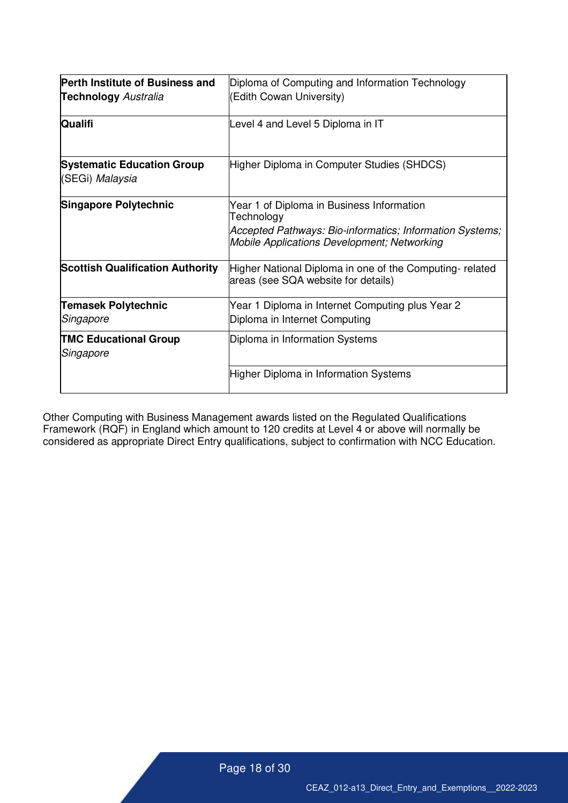| <b>Perth Institute of Business and</b><br><b>Technology</b> Australia | Diploma of Computing and Information Technology<br>(Edith Cowan University)                                                                                               |
|-----------------------------------------------------------------------|---------------------------------------------------------------------------------------------------------------------------------------------------------------------------|
| Qualifi                                                               | Level 4 and Level 5 Diploma in IT                                                                                                                                         |
| <b>Systematic Education Group</b><br>(SEGi) Malaysia                  | Higher Diploma in Computer Studies (SHDCS)                                                                                                                                |
| Singapore Polytechnic                                                 | Year 1 of Diploma in Business Information<br>Technology<br>Accepted Pathways: Bio-informatics; Information Systems;<br><b>Mobile Applications Development; Networking</b> |
| <b>Scottish Qualification Authority</b>                               | Higher National Diploma in one of the Computing-related<br>areas (see SQA website for details)                                                                            |
| <b>Temasek Polytechnic</b><br>Singapore                               | Year 1 Diploma in Internet Computing plus Year 2<br>Diploma in Internet Computing                                                                                         |
| <b>TMC Educational Group</b><br>Singapore                             | Diploma in Information Systems                                                                                                                                            |
|                                                                       | Higher Diploma in Information Systems                                                                                                                                     |

Other Computing with Business Management awards listed on the Regulated Qualifications Framework (RQF) in England which amount to 120 credits at Level 4 or above will normally be considered as appropriate Direct Entry qualifications, subject to confirmation with NCC Education.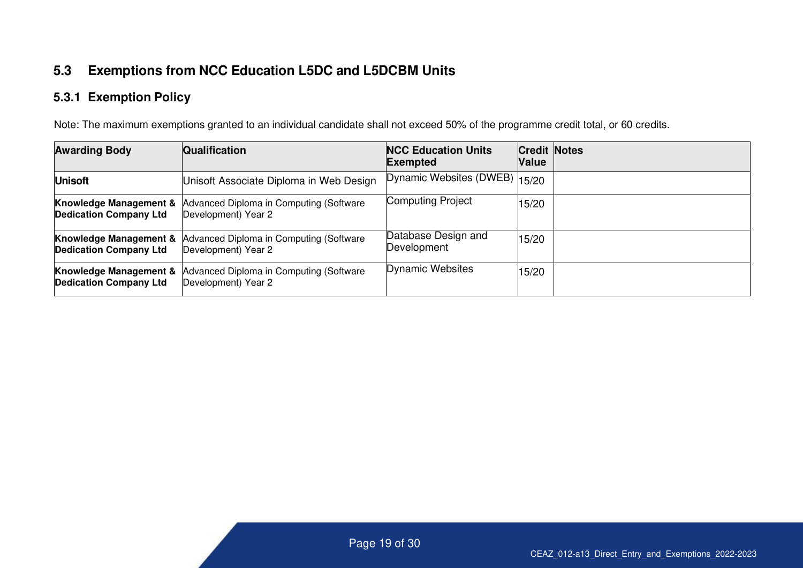## **5.3 Exemptions from NCC Education L5DC and L5DCBM Units**

#### **5.3.1 Exemption Policy**

Note: The maximum exemptions granted to an individual candidate shall not exceed 50% of the programme credit total, or 60 credits.

<span id="page-18-1"></span><span id="page-18-0"></span>

| <b>Awarding Body</b>                                               | <b>Qualification</b>                                                                             | <b>NCC Education Units</b><br><b>Exempted</b> | <b>Credit Notes</b><br>Value |  |
|--------------------------------------------------------------------|--------------------------------------------------------------------------------------------------|-----------------------------------------------|------------------------------|--|
| <b>Unisoft</b>                                                     | Unisoft Associate Diploma in Web Design                                                          | Dynamic Websites (DWEB) 15/20                 |                              |  |
| Knowledge Management &<br><b>Dedication Company Ltd</b>            | Advanced Diploma in Computing (Software<br>Development) Year 2                                   | Computing Project                             | 15/20                        |  |
| <b>Dedication Company Ltd</b>                                      | <b>Knowledge Management &amp; Advanced Diploma in Computing (Software</b><br>Development) Year 2 | Database Design and<br>Development            | 15/20                        |  |
| <b>Knowledge Management &amp;</b><br><b>Dedication Company Ltd</b> | Advanced Diploma in Computing (Software<br>Development) Year 2                                   | Dynamic Websites                              | 15/20                        |  |

Page 19 of 30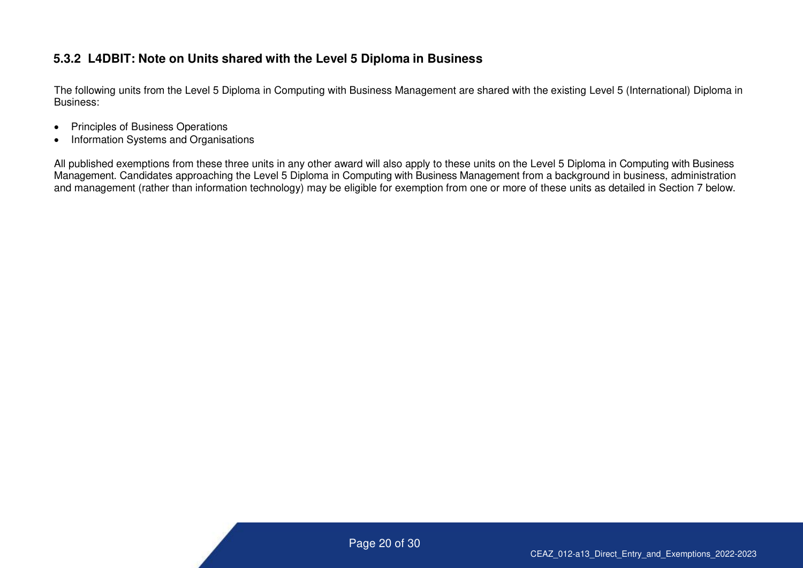#### **5.3.2 L4DBIT: Note on Units shared with the Level 5 Diploma in Business**

The following units from the Level 5 Diploma in Computing with Business Management are shared with the existing Level 5 (International) Diploma in Business:

- Principles of Business Operations
- Information Systems and Organisations

<span id="page-19-0"></span>All published exemptions from these three units in any other award will also apply to these units on the Level 5 Diploma in Computing with Business Management. Candidates approaching the Level 5 Diploma in Computing with Business Management from a background in business, administration and management (rather than information technology) may be eligible for exemption from one or more of these units as detailed in Section 7 below.

Page 20 of 30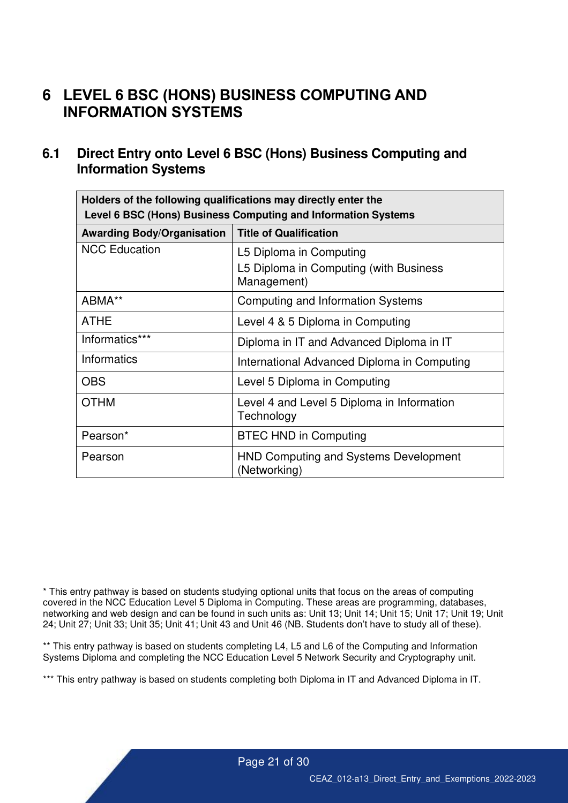# <span id="page-20-0"></span>**6 LEVEL 6 BSC (HONS) BUSINESS COMPUTING AND INFORMATION SYSTEMS**

#### <span id="page-20-1"></span>**6.1 Direct Entry onto Level 6 BSC (Hons) Business Computing and Information Systems**

| Holders of the following qualifications may directly enter the<br>Level 6 BSC (Hons) Business Computing and Information Systems |                                                                                  |  |  |  |
|---------------------------------------------------------------------------------------------------------------------------------|----------------------------------------------------------------------------------|--|--|--|
| <b>Awarding Body/Organisation</b><br><b>Title of Qualification</b>                                                              |                                                                                  |  |  |  |
| <b>NCC Education</b>                                                                                                            | L5 Diploma in Computing<br>L5 Diploma in Computing (with Business<br>Management) |  |  |  |
| ABMA**                                                                                                                          | Computing and Information Systems                                                |  |  |  |
| <b>ATHE</b>                                                                                                                     | Level 4 & 5 Diploma in Computing                                                 |  |  |  |
| Informatics***                                                                                                                  | Diploma in IT and Advanced Diploma in IT                                         |  |  |  |
| Informatics                                                                                                                     | International Advanced Diploma in Computing                                      |  |  |  |
| <b>OBS</b>                                                                                                                      | Level 5 Diploma in Computing                                                     |  |  |  |
| <b>OTHM</b>                                                                                                                     | Level 4 and Level 5 Diploma in Information<br>Technology                         |  |  |  |
| Pearson*                                                                                                                        | <b>BTEC HND in Computing</b>                                                     |  |  |  |
| Pearson                                                                                                                         | <b>HND Computing and Systems Development</b><br>(Networking)                     |  |  |  |

\* This entry pathway is based on students studying optional units that focus on the areas of computing covered in the NCC Education Level 5 Diploma in Computing. These areas are programming, databases, networking and web design and can be found in such units as: Unit 13; Unit 14; Unit 15; Unit 17; Unit 19; Unit 24; Unit 27; Unit 33; Unit 35; Unit 41; Unit 43 and Unit 46 (NB. Students don't have to study all of these).

\*\* This entry pathway is based on students completing L4, L5 and L6 of the Computing and Information Systems Diploma and completing the NCC Education Level 5 Network Security and Cryptography unit.

\*\*\* This entry pathway is based on students completing both Diploma in IT and Advanced Diploma in IT.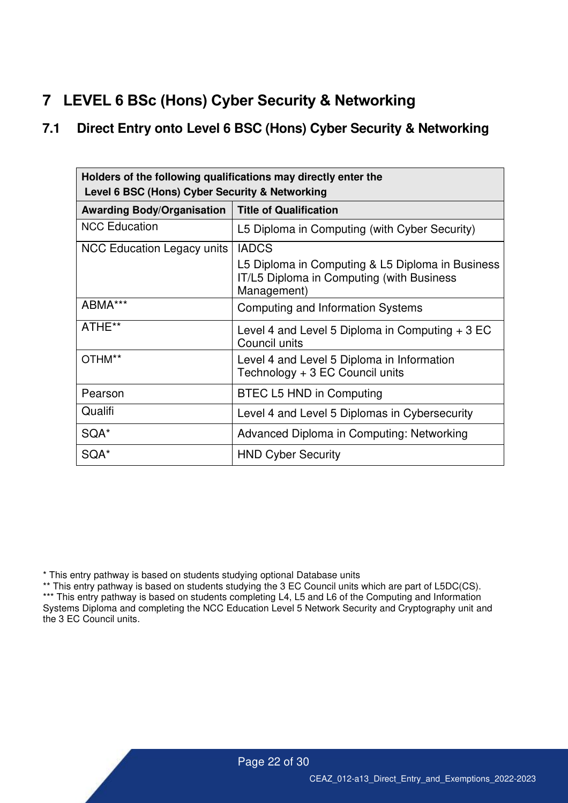# <span id="page-21-0"></span>**7 LEVEL 6 BSc (Hons) Cyber Security & Networking**

#### <span id="page-21-1"></span>**7.1 Direct Entry onto Level 6 BSC (Hons) Cyber Security & Networking**

| Holders of the following qualifications may directly enter the<br>Level 6 BSC (Hons) Cyber Security & Networking |                                                                                                              |  |  |  |
|------------------------------------------------------------------------------------------------------------------|--------------------------------------------------------------------------------------------------------------|--|--|--|
| <b>Title of Qualification</b><br><b>Awarding Body/Organisation</b>                                               |                                                                                                              |  |  |  |
| <b>NCC Education</b>                                                                                             | L5 Diploma in Computing (with Cyber Security)                                                                |  |  |  |
| <b>NCC Education Legacy units</b>                                                                                | <b>IADCS</b>                                                                                                 |  |  |  |
|                                                                                                                  | L5 Diploma in Computing & L5 Diploma in Business<br>IT/L5 Diploma in Computing (with Business<br>Management) |  |  |  |
| ABMA***                                                                                                          | Computing and Information Systems                                                                            |  |  |  |
| ATHE**                                                                                                           | Level 4 and Level 5 Diploma in Computing $+3$ EC<br>Council units                                            |  |  |  |
| OTHM**                                                                                                           | Level 4 and Level 5 Diploma in Information<br>Technology + 3 EC Council units                                |  |  |  |
| Pearson                                                                                                          | BTEC L5 HND in Computing                                                                                     |  |  |  |
| Qualifi                                                                                                          | Level 4 and Level 5 Diplomas in Cybersecurity                                                                |  |  |  |
| SQA*                                                                                                             | Advanced Diploma in Computing: Networking                                                                    |  |  |  |
| SQA*                                                                                                             | <b>HND Cyber Security</b>                                                                                    |  |  |  |

\* This entry pathway is based on students studying optional Database units

\*\* This entry pathway is based on students studying the 3 EC Council units which are part of L5DC(CS). \*\*\* This entry pathway is based on students completing L4, L5 and L6 of the Computing and Information Systems Diploma and completing the NCC Education Level 5 Network Security and Cryptography unit and the 3 EC Council units.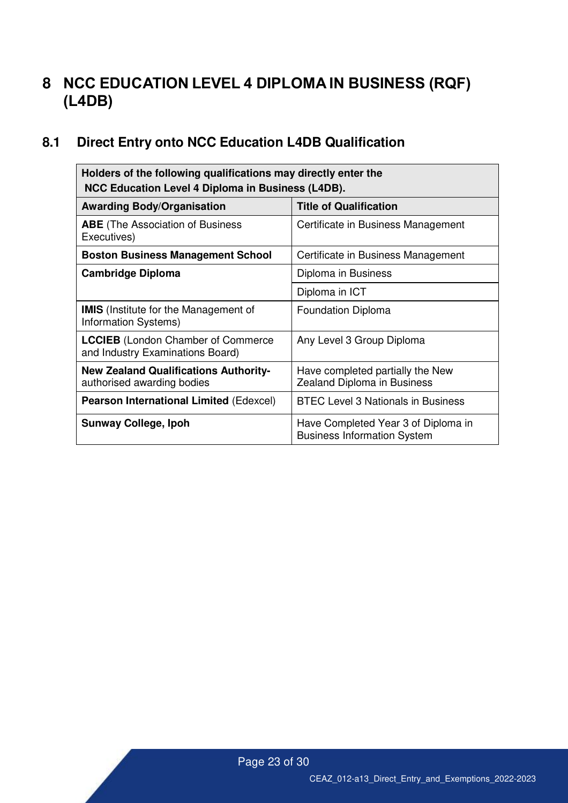# <span id="page-22-0"></span>**8 NCC EDUCATION LEVEL 4 DIPLOMA IN BUSINESS (RQF) (L4DB)**

# <span id="page-22-1"></span>**8.1 Direct Entry onto NCC Education L4DB Qualification**

| Holders of the following qualifications may directly enter the<br>NCC Education Level 4 Diploma in Business (L4DB). |                                                                           |  |  |  |  |
|---------------------------------------------------------------------------------------------------------------------|---------------------------------------------------------------------------|--|--|--|--|
| <b>Awarding Body/Organisation</b>                                                                                   | <b>Title of Qualification</b>                                             |  |  |  |  |
| <b>ABE</b> (The Association of Business<br>Executives)                                                              | Certificate in Business Management                                        |  |  |  |  |
| <b>Boston Business Management School</b>                                                                            | Certificate in Business Management                                        |  |  |  |  |
| <b>Cambridge Diploma</b>                                                                                            | Diploma in Business                                                       |  |  |  |  |
|                                                                                                                     | Diploma in ICT                                                            |  |  |  |  |
| <b>IMIS</b> (Institute for the Management of<br>Information Systems)                                                | <b>Foundation Diploma</b>                                                 |  |  |  |  |
| <b>LCCIEB</b> (London Chamber of Commerce<br>and Industry Examinations Board)                                       | Any Level 3 Group Diploma                                                 |  |  |  |  |
| <b>New Zealand Qualifications Authority-</b><br>authorised awarding bodies                                          | Have completed partially the New<br><b>Zealand Diploma in Business</b>    |  |  |  |  |
| <b>Pearson International Limited (Edexcel)</b>                                                                      | <b>BTEC Level 3 Nationals in Business</b>                                 |  |  |  |  |
| <b>Sunway College, Ipoh</b>                                                                                         | Have Completed Year 3 of Diploma in<br><b>Business Information System</b> |  |  |  |  |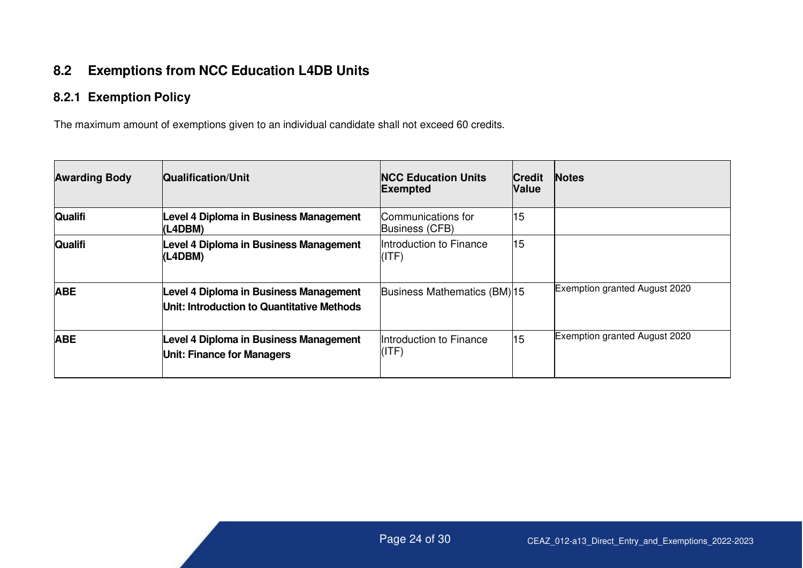### **8.2 Exemptions from NCC Education L4DB Units**

### **8.2.1 Exemption Policy**

The maximum amount of exemptions given to an individual candidate shall not exceed 60 credits.

<span id="page-23-1"></span><span id="page-23-0"></span>

| <b>Awarding Body</b> | <b>Qualification/Unit</b>                                                            | <b>INCC Education Units</b><br><b>Exempted</b> | <b>Credit</b><br><b>Value</b> | <b>Notes</b>                  |
|----------------------|--------------------------------------------------------------------------------------|------------------------------------------------|-------------------------------|-------------------------------|
| <b>Qualifi</b>       | Level 4 Diploma in Business Management<br>(L4DBM)                                    | Communications for<br>Business (CFB)           | 15                            |                               |
| <b>Qualifi</b>       | Level 4 Diploma in Business Management<br>(L4DBM)                                    | Introduction to Finance<br>(ITF)               | 15                            |                               |
| <b>ABE</b>           | Level 4 Diploma in Business Management<br>Unit: Introduction to Quantitative Methods | Business Mathematics (BM) 15                   |                               | Exemption granted August 2020 |
| <b>ABE</b>           | Level 4 Diploma in Business Management<br>Unit: Finance for Managers                 | Introduction to Finance<br>(ITF)               | 15                            | Exemption granted August 2020 |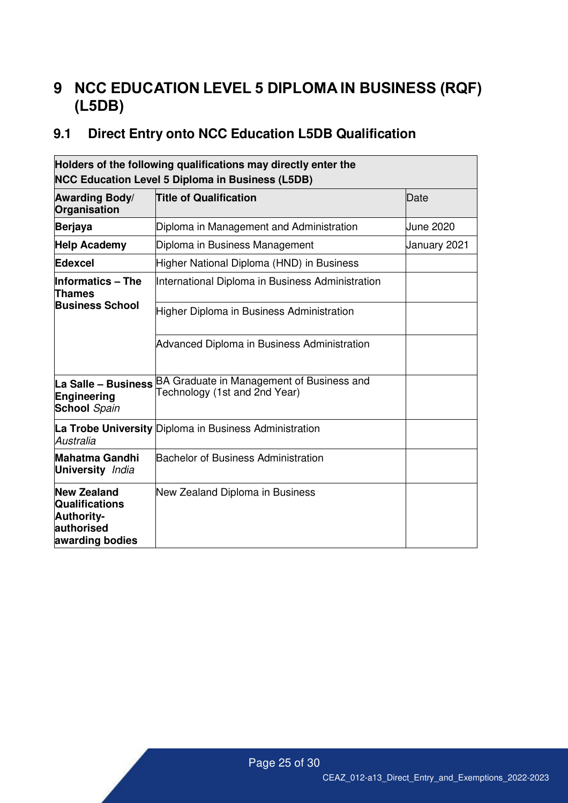# <span id="page-24-0"></span>**9 NCC EDUCATION LEVEL 5 DIPLOMA IN BUSINESS (RQF) (L5DB)**

# <span id="page-24-1"></span>**9.1 Direct Entry onto NCC Education L5DB Qualification**

| Holders of the following qualifications may directly enter the<br><b>NCC Education Level 5 Diploma in Business (L5DB)</b> |                                                                            |              |  |  |
|---------------------------------------------------------------------------------------------------------------------------|----------------------------------------------------------------------------|--------------|--|--|
| <b>Awarding Body/</b><br><b>Title of Qualification</b><br>Organisation                                                    |                                                                            | Date         |  |  |
| <b>Berjaya</b>                                                                                                            | Diploma in Management and Administration                                   | June 2020    |  |  |
| <b>Help Academy</b>                                                                                                       | Diploma in Business Management                                             | January 2021 |  |  |
| Edexcel                                                                                                                   | Higher National Diploma (HND) in Business                                  |              |  |  |
| <b>Informatics - The</b><br><b>Thames</b>                                                                                 | International Diploma in Business Administration                           |              |  |  |
| <b>Business School</b>                                                                                                    | Higher Diploma in Business Administration                                  |              |  |  |
|                                                                                                                           | Advanced Diploma in Business Administration                                |              |  |  |
| La Salle - Business<br>Engineering<br><b>School</b> Spain                                                                 | BA Graduate in Management of Business and<br>Technology (1st and 2nd Year) |              |  |  |
| Australia                                                                                                                 | La Trobe University Diploma in Business Administration                     |              |  |  |
| <b>Mahatma Gandhi</b><br><b>University</b> India                                                                          | Bachelor of Business Administration                                        |              |  |  |
| <b>New Zealand</b><br><b>Qualifications</b><br><b>Authority-</b><br>authorised<br>awarding bodies                         | New Zealand Diploma in Business                                            |              |  |  |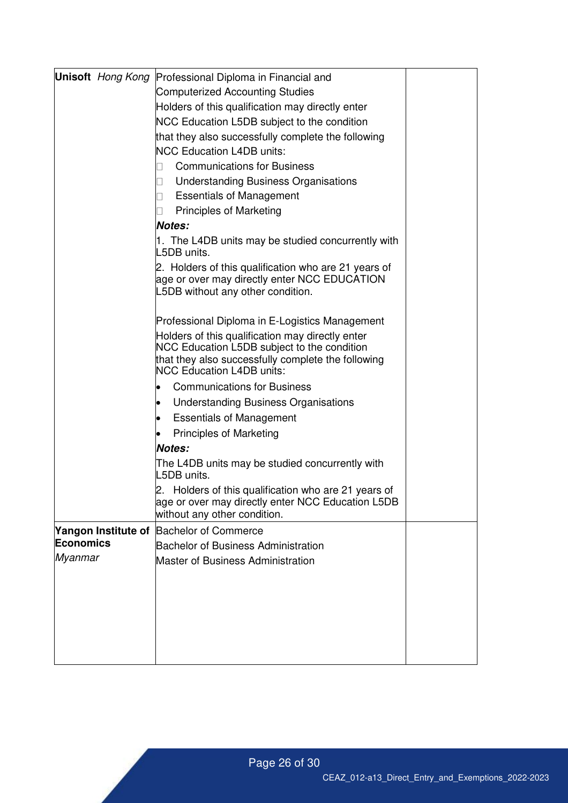|                |                     | <b>Unisoft</b> Hong Kong Professional Diploma in Financial and                                                                                                                            |  |
|----------------|---------------------|-------------------------------------------------------------------------------------------------------------------------------------------------------------------------------------------|--|
|                |                     | <b>Computerized Accounting Studies</b>                                                                                                                                                    |  |
|                |                     | Holders of this qualification may directly enter                                                                                                                                          |  |
|                |                     | NCC Education L5DB subject to the condition                                                                                                                                               |  |
|                |                     | that they also successfully complete the following                                                                                                                                        |  |
|                |                     | <b>NCC Education L4DB units:</b>                                                                                                                                                          |  |
|                |                     | <b>Communications for Business</b><br>$\vert \ \ \vert$                                                                                                                                   |  |
|                |                     | <b>Understanding Business Organisations</b>                                                                                                                                               |  |
|                |                     | <b>Essentials of Management</b><br>$\vert \ \ \vert$                                                                                                                                      |  |
|                |                     | <b>Principles of Marketing</b>                                                                                                                                                            |  |
|                |                     | <b>Notes:</b>                                                                                                                                                                             |  |
|                |                     | 1. The L4DB units may be studied concurrently with<br>L5DB units.                                                                                                                         |  |
|                |                     | 2. Holders of this qualification who are 21 years of<br>age or over may directly enter NCC EDUCATION<br>L5DB without any other condition.                                                 |  |
|                |                     | Professional Diploma in E-Logistics Management                                                                                                                                            |  |
|                |                     | Holders of this qualification may directly enter<br>NCC Education L5DB subject to the condition<br>that they also successfully complete the following<br><b>NCC Education L4DB units:</b> |  |
|                |                     | <b>Communications for Business</b><br>$\bullet$                                                                                                                                           |  |
|                |                     | <b>Understanding Business Organisations</b><br>$\bullet$                                                                                                                                  |  |
|                |                     | <b>Essentials of Management</b><br>$\bullet$                                                                                                                                              |  |
|                |                     | <b>Principles of Marketing</b><br>$\bullet$                                                                                                                                               |  |
|                |                     | Notes:                                                                                                                                                                                    |  |
|                |                     | The L4DB units may be studied concurrently with<br>L5DB units.                                                                                                                            |  |
|                |                     | 2. Holders of this qualification who are 21 years of<br>age or over may directly enter NCC Education L5DB<br>without any other condition.                                                 |  |
|                | Yangon Institute of | <b>Bachelor of Commerce</b>                                                                                                                                                               |  |
| Economics      |                     | <b>Bachelor of Business Administration</b>                                                                                                                                                |  |
| <b>Myanmar</b> |                     | <b>Master of Business Administration</b>                                                                                                                                                  |  |
|                |                     |                                                                                                                                                                                           |  |
|                |                     |                                                                                                                                                                                           |  |
|                |                     |                                                                                                                                                                                           |  |
|                |                     |                                                                                                                                                                                           |  |
|                |                     |                                                                                                                                                                                           |  |
|                |                     |                                                                                                                                                                                           |  |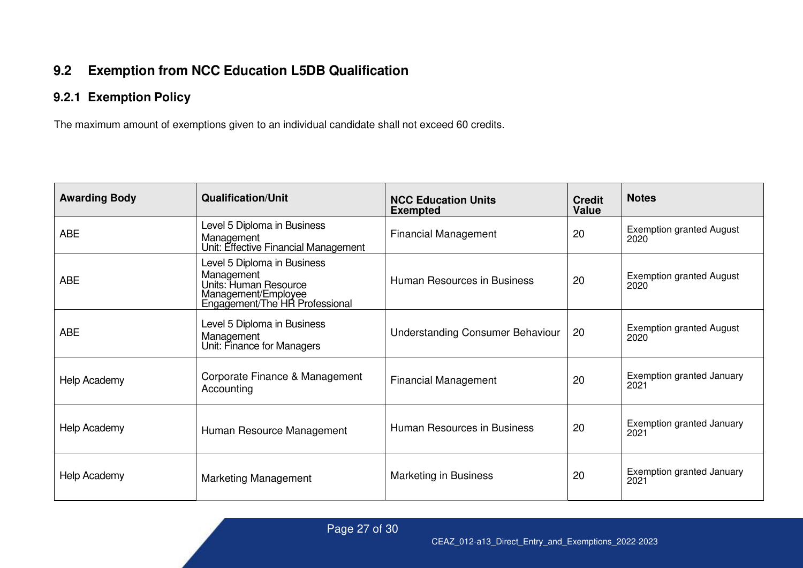## **9.2 Exemption from NCC Education L5DB Qualification**

### **9.2.1 Exemption Policy**

The maximum amount of exemptions given to an individual candidate shall not exceed 60 credits.

<span id="page-26-1"></span><span id="page-26-0"></span>

| <b>Awarding Body</b> | <b>Qualification/Unit</b>                                                                                                   | <b>NCC Education Units</b><br><b>Exempted</b> | <b>Credit</b><br><b>Value</b> | <b>Notes</b>                             |
|----------------------|-----------------------------------------------------------------------------------------------------------------------------|-----------------------------------------------|-------------------------------|------------------------------------------|
| <b>ABE</b>           | Level 5 Diploma in Business<br>Management<br>Unit: Effective Financial Management                                           | <b>Financial Management</b>                   | 20                            | <b>Exemption granted August</b><br>2020  |
| <b>ABE</b>           | Level 5 Diploma in Business<br>Management<br>Units: Human Resource<br>Management/Employee<br>Engagement/The HR Professional | Human Resources in Business                   | 20                            | <b>Exemption granted August</b><br>2020  |
| <b>ABE</b>           | Level 5 Diploma in Business<br>Management<br>Unit: Finance for Managers                                                     | <b>Understanding Consumer Behaviour</b>       | 20                            | <b>Exemption granted August</b><br>2020  |
| Help Academy         | Corporate Finance & Management<br>Accounting                                                                                | <b>Financial Management</b>                   | 20                            | <b>Exemption granted January</b><br>2021 |
| Help Academy         | Human Resource Management                                                                                                   | Human Resources in Business                   | 20                            | <b>Exemption granted January</b><br>2021 |
| Help Academy         | <b>Marketing Management</b>                                                                                                 | Marketing in Business                         | 20                            | <b>Exemption granted January</b><br>2021 |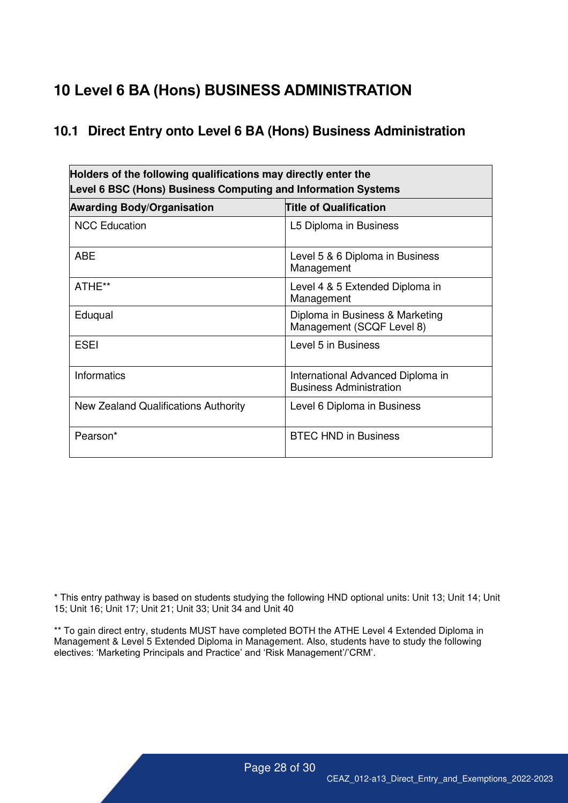# <span id="page-27-0"></span>**10 Level 6 BA (Hons) BUSINESS ADMINISTRATION**

#### <span id="page-27-1"></span>**10.1 Direct Entry onto Level 6 BA (Hons) Business Administration**

| Holders of the following qualifications may directly enter the<br>Level 6 BSC (Hons) Business Computing and Information Systems |                                                                     |  |  |  |
|---------------------------------------------------------------------------------------------------------------------------------|---------------------------------------------------------------------|--|--|--|
| <b>Title of Qualification</b><br><b>Awarding Body/Organisation</b>                                                              |                                                                     |  |  |  |
| <b>NCC Education</b>                                                                                                            | L5 Diploma in Business                                              |  |  |  |
| <b>ABE</b>                                                                                                                      | Level 5 & 6 Diploma in Business<br>Management                       |  |  |  |
| ATHE**                                                                                                                          | Level 4 & 5 Extended Diploma in<br>Management                       |  |  |  |
| Eduqual                                                                                                                         | Diploma in Business & Marketing<br>Management (SCQF Level 8)        |  |  |  |
| ESEI                                                                                                                            | Level 5 in Business                                                 |  |  |  |
| <b>Informatics</b>                                                                                                              | International Advanced Diploma in<br><b>Business Administration</b> |  |  |  |
| New Zealand Qualifications Authority                                                                                            | Level 6 Diploma in Business                                         |  |  |  |
| Pearson*                                                                                                                        | <b>BTEC HND in Business</b>                                         |  |  |  |

\* This entry pathway is based on students studying the following HND optional units: Unit 13; Unit 14; Unit 15; Unit 16; Unit 17; Unit 21; Unit 33; Unit 34 and Unit 40

\*\* To gain direct entry, students MUST have completed BOTH the ATHE Level 4 Extended Diploma in Management & Level 5 Extended Diploma in Management. Also, students have to study the following electives: 'Marketing Principals and Practice' and 'Risk Management'/'CRM'.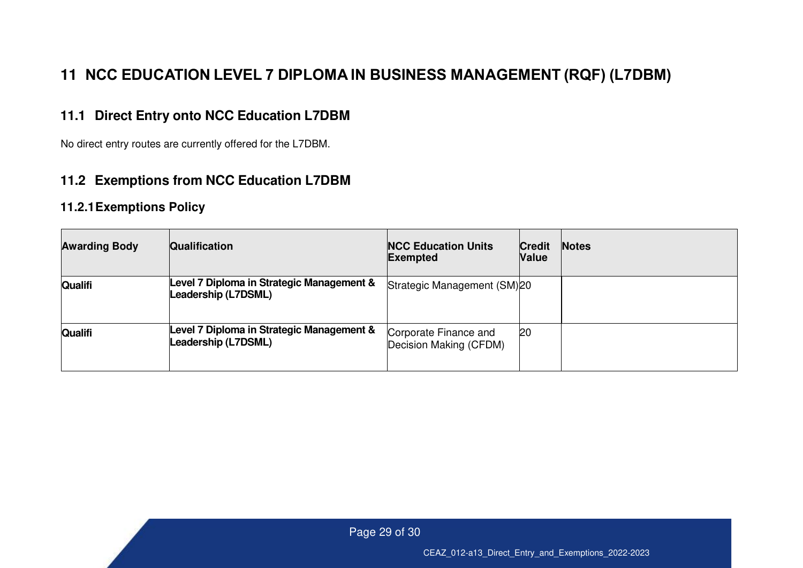# **11 NCC EDUCATION LEVEL 7 DIPLOMA IN BUSINESS MANAGEMENT (RQF) (L7DBM)**

#### **11.1 Direct Entry onto NCC Education L7DBM**

No direct entry routes are currently offered for the L7DBM.

#### **11.2 Exemptions from NCC Education L7DBM**

#### **11.2.1 Exemptions Policy**

<span id="page-28-3"></span><span id="page-28-2"></span><span id="page-28-1"></span><span id="page-28-0"></span>

| <b>Awarding Body</b> | <b>Qualification</b>                                             | <b>NCC Education Units</b><br><b>Exempted</b>   | <b>Credit</b><br><b>Value</b> | <b>Notes</b> |
|----------------------|------------------------------------------------------------------|-------------------------------------------------|-------------------------------|--------------|
| <b>Qualifi</b>       | Level 7 Diploma in Strategic Management &<br>Leadership (L7DSML) | Strategic Management (SM)20                     |                               |              |
| Qualifi              | Level 7 Diploma in Strategic Management &<br>Leadership (L7DSML) | Corporate Finance and<br>Decision Making (CFDM) | 20                            |              |

Page 29 of 30

CEAZ\_012-a13\_Direct\_Entry\_and\_Exemptions\_2022-2023